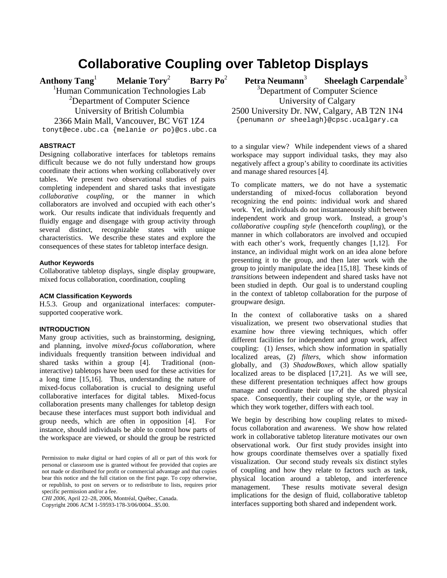# **Collaborative Coupling over Tabletop Displays**

**Anthony Tang**<sup>1</sup>

 **Barry Po**<sup>2</sup>

<sup>1</sup>Human Communication Technologies Lab <sup>2</sup>Department of Computer Science University of British Columbia

 **Melanie Tory**<sup>2</sup>

2366 Main Mall, Vancouver, BC V6T 1Z4

tonyt@ece.ubc.ca {melanie *or* po}@cs.ubc.ca

### **ABSTRACT**

Designing collaborative interfaces for tabletops remains difficult because we do not fully understand how groups coordinate their actions when working collaboratively over tables. We present two observational studies of pairs completing independent and shared tasks that investigate *collaborative coupling*, or the manner in which collaborators are involved and occupied with each other's work. Our results indicate that individuals frequently and fluidly engage and disengage with group activity through several distinct, recognizable states with unique characteristics. We describe these states and explore the consequences of these states for tabletop interface design.

#### **Author Keywords**

Collaborative tabletop displays, single display groupware, mixed focus collaboration, coordination, coupling

## **ACM Classification Keywords**

H.5.3. Group and organizational interfaces: computersupported cooperative work.

## **INTRODUCTION**

Many group activities, such as brainstorming, designing, and planning, involve *mixed-focus collaboration*, where individuals frequently transition between individual and shared tasks within a group [4]. Traditional (noninteractive) tabletops have been used for these activities for a long time [15,16]. Thus, understanding the nature of mixed-focus collaboration is crucial to designing useful collaborative interfaces for digital tables. Mixed-focus collaboration presents many challenges for tabletop design because these interfaces must support both individual and group needs, which are often in opposition [4]. For instance, should individuals be able to control how parts of the workspace are viewed, or should the group be restricted

*CHI 2006,* April 22–28, 2006, Montréal, Québec, Canada.

Copyright 2006 ACM 1-59593-178-3/06/0004...\$5.00.

 **Petra Neumann**<sup>3</sup> **Sheelagh Carpendale**<sup>3</sup> <sup>3</sup>Department of Computer Science University of Calgary 2500 University Dr. NW, Calgary, AB T2N 1N4 {penumann *or* sheelagh}@cpsc.ucalgary.ca

to a singular view? While independent views of a shared workspace may support individual tasks, they may also negatively affect a group's ability to coordinate its activities and manage shared resources [4].

To complicate matters, we do not have a systematic understanding of mixed-focus collaboration beyond recognizing the end points: individual work and shared work. Yet, individuals do not instantaneously shift between independent work and group work. Instead, a group's *collaborative coupling style* (henceforth *coupling*), or the manner in which collaborators are involved and occupied with each other's work, frequently changes [1,12]. For instance, an individual might work on an idea alone before presenting it to the group, and then later work with the group to jointly manipulate the idea [15,18]. These kinds of *transitions* between independent and shared tasks have not been studied in depth. Our goal is to understand coupling in the context of tabletop collaboration for the purpose of groupware design.

In the context of collaborative tasks on a shared visualization, we present two observational studies that examine how three viewing techniques, which offer different facilities for independent and group work, affect coupling: (1) *lenses,* which show information in spatially localized areas, (2) *filters,* which show information globally, and (3) *ShadowBoxes,* which allow spatially localized areas to be displaced [17,21]. As we will see, these different presentation techniques affect how groups manage and coordinate their use of the shared physical space. Consequently, their coupling style, or the way in which they work together, differs with each tool.

We begin by describing how coupling relates to mixedfocus collaboration and awareness. We show how related work in collaborative tabletop literature motivates our own observational work. Our first study provides insight into how groups coordinate themselves over a spatially fixed visualization. Our second study reveals six distinct styles of coupling and how they relate to factors such as task, physical location around a tabletop, and interference management. These results motivate several design implications for the design of fluid, collaborative tabletop interfaces supporting both shared and independent work.

Permission to make digital or hard copies of all or part of this work for personal or classroom use is granted without fee provided that copies are not made or distributed for profit or commercial advantage and that copies bear this notice and the full citation on the first page. To copy otherwise, or republish, to post on servers or to redistribute to lists, requires prior specific permission and/or a fee.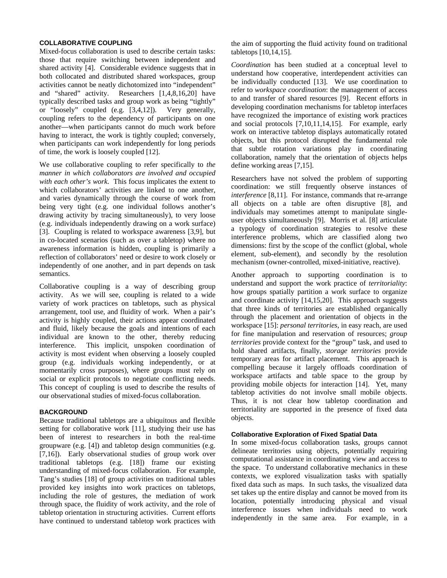### **COLLABORATIVE COUPLING**

Mixed-focus collaboration is used to describe certain tasks: those that require switching between independent and shared activity [4]. Considerable evidence suggests that in both collocated and distributed shared workspaces, group activities cannot be neatly dichotomized into "independent" and "shared" activity. Researchers [1,4,8,16,20] have typically described tasks and group work as being "tightly" or "loosely" coupled (e.g. [3,4,12]). Very generally, coupling refers to the dependency of participants on one another—when participants cannot do much work before having to interact, the work is tightly coupled; conversely, when participants can work independently for long periods of time, the work is loosely coupled [12].

We use collaborative coupling to refer specifically to *the manner in which collaborators are involved and occupied with each other's work*. This focus implicates the extent to which collaborators' activities are linked to one another, and varies dynamically through the course of work from being very tight (e.g. one individual follows another's drawing activity by tracing simultaneously), to very loose (e.g. individuals independently drawing on a work surface) [3]. Coupling is related to workspace awareness [3,9], but in co-located scenarios (such as over a tabletop) where no awareness information is hidden, coupling is primarily a reflection of collaborators' need or desire to work closely or independently of one another, and in part depends on task semantics.

Collaborative coupling is a way of describing group activity. As we will see, coupling is related to a wide variety of work practices on tabletops, such as physical arrangement, tool use, and fluidity of work. When a pair's activity is highly coupled, their actions appear coordinated and fluid, likely because the goals and intentions of each individual are known to the other, thereby reducing interference. This implicit, unspoken coordination of activity is most evident when observing a loosely coupled group (e.g. individuals working independently, or at momentarily cross purposes), where groups must rely on social or explicit protocols to negotiate conflicting needs. This concept of coupling is used to describe the results of our observational studies of mixed-focus collaboration.

## **BACKGROUND**

Because traditional tabletops are a ubiquitous and flexible setting for collaborative work [11], studying their use has been of interest to researchers in both the real-time groupware (e.g. [4]) and tabletop design communities (e.g. [7,16]). Early observational studies of group work over traditional tabletops (e.g. [18]) frame our existing understanding of mixed-focus collaboration. For example, Tang's studies [18] of group activities on traditional tables provided key insights into work practices on tabletops, including the role of gestures, the mediation of work through space, the fluidity of work activity, and the role of tabletop orientation in structuring activities. Current efforts have continued to understand tabletop work practices with

the aim of supporting the fluid activity found on traditional tabletops [10,14,15].

*Coordination* has been studied at a conceptual level to understand how cooperative, interdependent activities can be individually conducted [13]. We use coordination to refer to *workspace coordination*: the management of access to and transfer of shared resources [9]. Recent efforts in developing coordination mechanisms for tabletop interfaces have recognized the importance of existing work practices and social protocols [7,10,11,14,15]. For example, early work on interactive tabletop displays automatically rotated objects, but this protocol disrupted the fundamental role that subtle rotation variations play in coordinating collaboration, namely that the orientation of objects helps define working areas [7,15].

Researchers have not solved the problem of supporting coordination: we still frequently observe instances of *interference* [8,11]. For instance, commands that re-arrange all objects on a table are often disruptive [8], and individuals may sometimes attempt to manipulate singleuser objects simultaneously [9]. Morris et al. [8] articulate a typology of coordination strategies to resolve these interference problems, which are classified along two dimensions: first by the scope of the conflict (global, whole element, sub-element), and secondly by the resolution mechanism (owner-controlled, mixed-initiative, reactive).

Another approach to supporting coordination is to understand and support the work practice of *territoriality*: how groups spatially partition a work surface to organize and coordinate activity [14,15,20]. This approach suggests that three kinds of territories are established organically through the placement and orientation of objects in the workspace [15]: *personal territories*, in easy reach, are used for fine manipulation and reservation of resources; *group territories* provide context for the "group" task, and used to hold shared artifacts, finally, *storage territories* provide temporary areas for artifact placement. This approach is compelling because it largely offloads coordination of workspace artifacts and table space to the group by providing mobile objects for interaction [14]. Yet, many tabletop activities do not involve small mobile objects. Thus, it is not clear how tabletop coordination and territoriality are supported in the presence of fixed data objects.

## **Collaborative Exploration of Fixed Spatial Data**

In some mixed-focus collaboration tasks, groups cannot delineate territories using objects, potentially requiring computational assistance in coordinating view and access to the space. To understand collaborative mechanics in these contexts, we explored visualization tasks with spatially fixed data such as maps. In such tasks, the visualized data set takes up the entire display and cannot be moved from its location, potentially introducing physical and visual interference issues when individuals need to work independently in the same area. For example, in a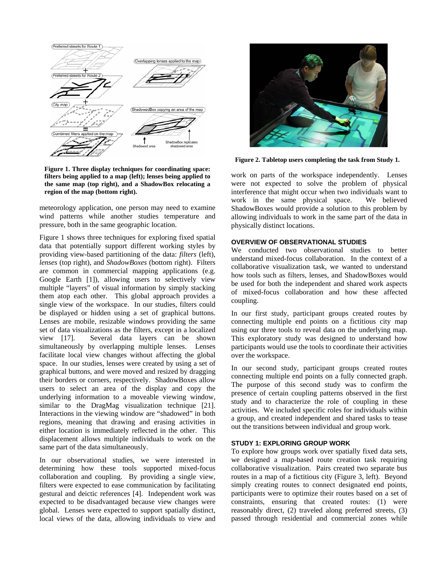

**Figure 1. Three display techniques for coordinating space: filters being applied to a map (left); lenses being applied to the same map (top right), and a ShadowBox relocating a region of the map (bottom right).** 

meteorology application, one person may need to examine wind patterns while another studies temperature and pressure, both in the same geographic location.

Figure 1 shows three techniques for exploring fixed spatial data that potentially support different working styles by providing view-based partitioning of the data: *filters* (left), *lenses* (top right), and *ShadowBoxes* (bottom right). Filters are common in commercial mapping applications (e.g. Google Earth [1]), allowing users to selectively view multiple "layers" of visual information by simply stacking them atop each other. This global approach provides a single view of the workspace. In our studies, filters could be displayed or hidden using a set of graphical buttons. Lenses are mobile, resizable windows providing the same set of data visualizations as the filters, except in a localized view [17]. Several data layers can be shown simultaneously by overlapping multiple lenses. Lenses facilitate local view changes without affecting the global space. In our studies, lenses were created by using a set of graphical buttons, and were moved and resized by dragging their borders or corners, respectively. ShadowBoxes allow users to select an area of the display and copy the underlying information to a moveable viewing window, similar to the DragMag visualization technique [21]. Interactions in the viewing window are "shadowed" in both regions, meaning that drawing and erasing activities in either location is immediately reflected in the other. This displacement allows multiple individuals to work on the same part of the data simultaneously.

In our observational studies, we were interested in determining how these tools supported mixed-focus collaboration and coupling. By providing a single view, filters were expected to ease communication by facilitating gestural and deictic references [4]. Independent work was expected to be disadvantaged because view changes were global. Lenses were expected to support spatially distinct, local views of the data, allowing individuals to view and



**Figure 2. Tabletop users completing the task from Study 1.** 

work on parts of the workspace independently. Lenses were not expected to solve the problem of physical interference that might occur when two individuals want to work in the same physical space. We believed ShadowBoxes would provide a solution to this problem by allowing individuals to work in the same part of the data in physically distinct locations.

## **OVERVIEW OF OBSERVATIONAL STUDIES**

We conducted two observational studies to better understand mixed-focus collaboration. In the context of a collaborative visualization task, we wanted to understand how tools such as filters, lenses, and ShadowBoxes would be used for both the independent and shared work aspects of mixed-focus collaboration and how these affected coupling.

In our first study, participant groups created routes by connecting multiple end points on a fictitious city map using our three tools to reveal data on the underlying map. This exploratory study was designed to understand how participants would use the tools to coordinate their activities over the workspace.

In our second study, participant groups created routes connecting multiple end points on a fully connected graph. The purpose of this second study was to confirm the presence of certain coupling patterns observed in the first study and to characterize the role of coupling in these activities. We included specific roles for individuals within a group, and created independent and shared tasks to tease out the transitions between individual and group work.

#### **STUDY 1: EXPLORING GROUP WORK**

To explore how groups work over spatially fixed data sets, we designed a map-based route creation task requiring collaborative visualization. Pairs created two separate bus routes in a map of a fictitious city (Figure 3, left). Beyond simply creating routes to connect designated end points, participants were to optimize their routes based on a set of constraints, ensuring that created routes: (1) were reasonably direct, (2) traveled along preferred streets, (3) passed through residential and commercial zones while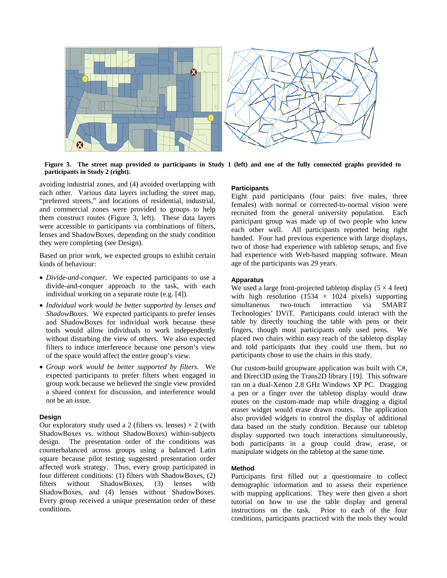

**Figure 3. The street map provided to participants in Study 1 (left) and one of the fully connected graphs provided to participants in Study 2 (right).** 

avoiding industrial zones, and (4) avoided overlapping with each other. Various data layers including the street map, "preferred streets," and locations of residential, industrial, and commercial zones were provided to groups to help them construct routes (Figure 3, left). These data layers were accessible to participants via combinations of filters, lenses and ShadowBoxes, depending on the study condition they were completing (see Design).

Based on prior work, we expected groups to exhibit certain kinds of behaviour:

- *Divide-and-conquer.* We expected participants to use a divide-and-conquer approach to the task, with each individual working on a separate route (e.g. [4]).
- *Individual work would be better supported by lenses and ShadowBoxes*. We expected participants to prefer lenses and ShadowBoxes for individual work because these tools would allow individuals to work independently without disturbing the view of others. We also expected filters to induce interference because one person's view of the space would affect the entire group's view.
- *Group work would be better supported by filters*. We expected participants to prefer filters when engaged in group work because we believed the single view provided a shared context for discussion, and interference would not be an issue.

#### **Design**

Our exploratory study used a 2 (filters vs. lenses)  $\times$  2 (with ShadowBoxes vs. without ShadowBoxes) within-subjects design. The presentation order of the conditions was counterbalanced across groups using a balanced Latin square because pilot testing suggested presentation order affected work strategy. Thus, every group participated in four different conditions: (1) filters with ShadowBoxes, (2) filters without ShadowBoxes, (3) lenses with ShadowBoxes, and (4) lenses without ShadowBoxes. Every group received a unique presentation order of these conditions.

## **Participants**

Eight paid participants (four pairs: five males, three females) with normal or corrected-to-normal vision were recruited from the general university population. Each participant group was made up of two people who knew each other well. All participants reported being right handed. Four had previous experience with large displays, two of those had experience with tabletop setups, and five had experience with Web-based mapping software. Mean age of the participants was 29 years.

# **Apparatus**

We used a large front-projected tabletop display  $(5 \times 4 \text{ feet})$ with high resolution  $(1534 \times 1024)$  pixels) supporting simultaneous two-touch interaction via SMART Technologies' DViT. Participants could interact with the table by directly touching the table with pens or their fingers, though most participants only used pens. We placed two chairs within easy reach of the tabletop display and told participants that they could use them, but no participants chose to use the chairs in this study.

Our custom-build groupware application was built with C#, and Direct3D using the Trans2D library [19]. This software ran on a dual-Xenon 2.8 GHz Windows XP PC. Dragging a pen or a finger over the tabletop display would draw routes on the custom-made map while dragging a digital eraser widget would erase drawn routes. The application also provided widgets to control the display of additional data based on the study condition. Because our tabletop display supported two touch interactions simultaneously, both participants in a group could draw, erase, or manipulate widgets on the tabletop at the same time.

#### **Method**

Participants first filled out a questionnaire to collect demographic information and to assess their experience with mapping applications. They were then given a short tutorial on how to use the table display and general instructions on the task. Prior to each of the four conditions, participants practiced with the tools they would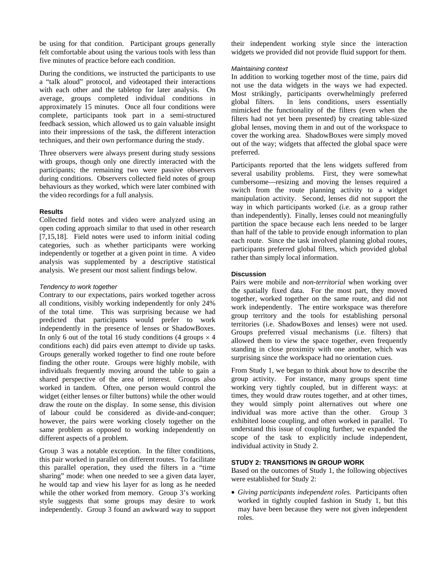be using for that condition. Participant groups generally felt comfortable about using the various tools with less than five minutes of practice before each condition.

During the conditions, we instructed the participants to use a "talk aloud" protocol, and videotaped their interactions with each other and the tabletop for later analysis. On average, groups completed individual conditions in approximately 15 minutes. Once all four conditions were complete, participants took part in a semi-structured feedback session, which allowed us to gain valuable insight into their impressions of the task, the different interaction techniques, and their own performance during the study.

Three observers were always present during study sessions with groups, though only one directly interacted with the participants; the remaining two were passive observers during conditions. Observers collected field notes of group behaviours as they worked, which were later combined with the video recordings for a full analysis.

## **Results**

Collected field notes and video were analyzed using an open coding approach similar to that used in other research [7,15,18]. Field notes were used to inform initial coding categories, such as whether participants were working independently or together at a given point in time. A video analysis was supplemented by a descriptive statistical analysis. We present our most salient findings below.

### *Tendency to work together*

Contrary to our expectations, pairs worked together across all conditions, visibly working independently for only 24% of the total time. This was surprising because we had predicted that participants would prefer to work independently in the presence of lenses or ShadowBoxes. In only 6 out of the total 16 study conditions (4 groups  $\times$  4 conditions each) did pairs even attempt to divide up tasks. Groups generally worked together to find one route before finding the other route. Groups were highly mobile, with individuals frequently moving around the table to gain a shared perspective of the area of interest. Groups also worked in tandem. Often, one person would control the widget (either lenses or filter buttons) while the other would draw the route on the display. In some sense, this division of labour could be considered as divide-and-conquer; however, the pairs were working closely together on the same problem as opposed to working independently on different aspects of a problem.

Group 3 was a notable exception. In the filter conditions, this pair worked in parallel on different routes. To facilitate this parallel operation, they used the filters in a "time sharing" mode: when one needed to see a given data layer, he would tap and view his layer for as long as he needed while the other worked from memory. Group 3's working style suggests that some groups may desire to work independently. Group 3 found an awkward way to support

their independent working style since the interaction widgets we provided did not provide fluid support for them.

#### *Maintaining context*

In addition to working together most of the time, pairs did not use the data widgets in the ways we had expected. Most strikingly, participants overwhelmingly preferred global filters. In lens conditions, users essentially mimicked the functionality of the filters (even when the filters had not yet been presented) by creating table-sized global lenses, moving them in and out of the workspace to cover the working area. ShadowBoxes were simply moved out of the way; widgets that affected the global space were preferred.

Participants reported that the lens widgets suffered from several usability problems. First, they were somewhat cumbersome—resizing and moving the lenses required a switch from the route planning activity to a widget manipulation activity. Second, lenses did not support the way in which participants worked (i.e. as a group rather than independently). Finally, lenses could not meaningfully partition the space because each lens needed to be larger than half of the table to provide enough information to plan each route. Since the task involved planning global routes, participants preferred global filters, which provided global rather than simply local information.

## **Discussion**

Pairs were mobile and *non-territorial* when working over the spatially fixed data. For the most part, they moved together, worked together on the same route, and did not work independently. The entire workspace was therefore group territory and the tools for establishing personal territories (i.e. ShadowBoxes and lenses) were not used. Groups preferred visual mechanisms (i.e. filters) that allowed them to view the space together, even frequently standing in close proximity with one another, which was surprising since the workspace had no orientation cues.

From Study 1, we began to think about how to describe the group activity. For instance, many groups spent time working very tightly coupled, but in different ways: at times, they would draw routes together, and at other times, they would simply point alternatives out where one individual was more active than the other. Group 3 exhibited loose coupling, and often worked in parallel. To understand this issue of coupling further, we expanded the scope of the task to explicitly include independent, individual activity in Study 2.

# **STUDY 2: TRANSITIONS IN GROUP WORK**

Based on the outcomes of Study 1, the following objectives were established for Study 2:

• *Giving participants independent roles*. Participants often worked in tightly coupled fashion in Study 1, but this may have been because they were not given independent roles.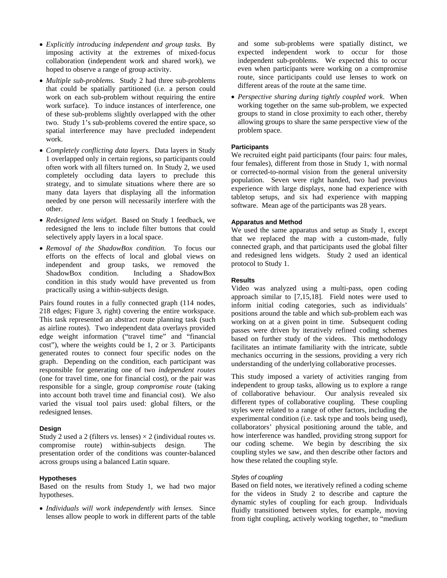- *Explicitly introducing independent and group tasks.* By imposing activity at the extremes of mixed-focus collaboration (independent work and shared work), we hoped to observe a range of group activity.
- *Multiple sub-problems.* Study 2 had three sub-problems that could be spatially partitioned (i.e. a person could work on each sub-problem without requiring the entire work surface). To induce instances of interference, one of these sub-problems slightly overlapped with the other two. Study 1's sub-problems covered the entire space, so spatial interference may have precluded independent work.
- *Completely conflicting data layers.* Data layers in Study 1 overlapped only in certain regions, so participants could often work with all filters turned on. In Study 2, we used completely occluding data layers to preclude this strategy, and to simulate situations where there are so many data layers that displaying all the information needed by one person will necessarily interfere with the other.
- *Redesigned lens widget.* Based on Study 1 feedback, we redesigned the lens to include filter buttons that could selectively apply layers in a local space.
- *Removal of the ShadowBox condition.* To focus our efforts on the effects of local and global views on independent and group tasks, we removed the ShadowBox condition. Including a ShadowBox condition in this study would have prevented us from practically using a within-subjects design.

Pairs found routes in a fully connected graph (114 nodes, 218 edges; Figure 3, right) covering the entire workspace. This task represented an abstract route planning task (such as airline routes). Two independent data overlays provided edge weight information ("travel time" and "financial cost"), where the weights could be 1, 2 or 3. Participants generated routes to connect four specific nodes on the graph. Depending on the condition, each participant was responsible for generating one of two *independent routes* (one for travel time, one for financial cost), or the pair was responsible for a single, group *compromise route* (taking into account both travel time and financial cost). We also varied the visual tool pairs used: global filters, or the redesigned lenses.

## **Design**

Study 2 used a 2 (filters *vs*. lenses)  $\times$  2 (individual routes *vs*. compromise route) within-subjects design. The presentation order of the conditions was counter-balanced across groups using a balanced Latin square.

#### **Hypotheses**

Based on the results from Study 1, we had two major hypotheses.

• *Individuals will work independently with lenses.* Since lenses allow people to work in different parts of the table and some sub-problems were spatially distinct, we expected independent work to occur for those independent sub-problems. We expected this to occur even when participants were working on a compromise route, since participants could use lenses to work on different areas of the route at the same time.

• *Perspective sharing during tightly coupled work*. When working together on the same sub-problem, we expected groups to stand in close proximity to each other, thereby allowing groups to share the same perspective view of the problem space.

# **Participants**

We recruited eight paid participants (four pairs: four males, four females), different from those in Study 1, with normal or corrected-to-normal vision from the general university population. Seven were right handed, two had previous experience with large displays, none had experience with tabletop setups, and six had experience with mapping software. Mean age of the participants was 28 years.

## **Apparatus and Method**

We used the same apparatus and setup as Study 1, except that we replaced the map with a custom-made, fully connected graph, and that participants used the global filter and redesigned lens widgets. Study 2 used an identical protocol to Study 1.

# **Results**

Video was analyzed using a multi-pass, open coding approach similar to [7,15,18]. Field notes were used to inform initial coding categories, such as individuals' positions around the table and which sub-problem each was working on at a given point in time. Subsequent coding passes were driven by iteratively refined coding schemes based on further study of the videos. This methodology facilitates an intimate familiarity with the intricate, subtle mechanics occurring in the sessions, providing a very rich understanding of the underlying collaborative processes.

This study imposed a variety of activities ranging from independent to group tasks, allowing us to explore a range of collaborative behaviour. Our analysis revealed six different types of collaborative coupling. These coupling styles were related to a range of other factors, including the experimental condition (i.e. task type and tools being used), collaborators' physical positioning around the table, and how interference was handled, providing strong support for our coding scheme. We begin by describing the six coupling styles we saw, and then describe other factors and how these related the coupling style.

#### *Styles of coupling*

Based on field notes, we iteratively refined a coding scheme for the videos in Study 2 to describe and capture the dynamic styles of coupling for each group. Individuals fluidly transitioned between styles, for example, moving from tight coupling, actively working together, to "medium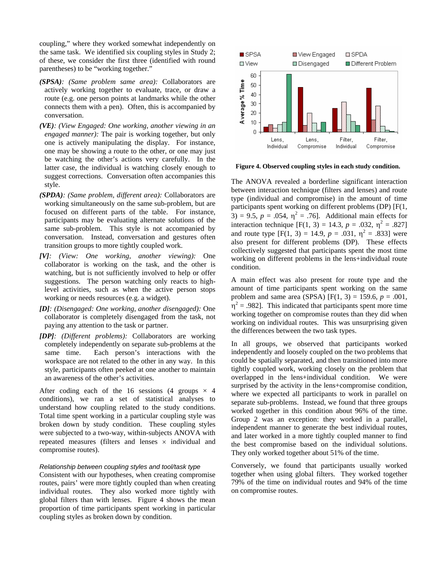coupling," where they worked somewhat independently on the same task. We identified six coupling styles in Study 2; of these, we consider the first three (identified with round parentheses) to be "working together."

- *(SPSA): (Same problem same area):* Collaborators are actively working together to evaluate, trace, or draw a route (e.g. one person points at landmarks while the other connects them with a pen). Often, this is accompanied by conversation.
- *(VE): (View Engaged: One working, another viewing in an engaged manner):* The pair is working together, but only one is actively manipulating the display. For instance, one may be showing a route to the other, or one may just be watching the other's actions very carefully. In the latter case, the individual is watching closely enough to suggest corrections. Conversation often accompanies this style.
- *(SPDA): (Same problem, different area):* Collaborators are working simultaneously on the same sub-problem, but are focused on different parts of the table. For instance, participants may be evaluating alternate solutions of the same sub-problem. This style is not accompanied by conversation. Instead, conversation and gestures often transition groups to more tightly coupled work.
- *[V]: (View: One working, another viewing):* One collaborator is working on the task, and the other is watching, but is not sufficiently involved to help or offer suggestions. The person watching only reacts to highlevel activities, such as when the active person stops working or needs resources (e.g. a widget).
- *[D]: (Disengaged: One working, another disengaged):* One collaborator is completely disengaged from the task, not paying any attention to the task or partner.
- *[DP]: (Different problems):* Collaborators are working completely independently on separate sub-problems at the same time. Each person's interactions with the workspace are not related to the other in any way. In this style, participants often peeked at one another to maintain an awareness of the other's activities.

After coding each of the 16 sessions (4 groups  $\times$  4 conditions), we ran a set of statistical analyses to understand how coupling related to the study conditions. Total time spent working in a particular coupling style was broken down by study condition. These coupling styles were subjected to a two-way, within-subjects ANOVA with repeated measures (filters and lenses  $\times$  individual and compromise routes).

#### *Relationship between coupling styles and tool/task type*

Consistent with our hypotheses, when creating compromise routes, pairs' were more tightly coupled than when creating individual routes. They also worked more tightly with global filters than with lenses. Figure 4 shows the mean proportion of time participants spent working in particular coupling styles as broken down by condition.



**Figure 4. Observed coupling styles in each study condition.** 

The ANOVA revealed a borderline significant interaction between interaction technique (filters and lenses) and route type (individual and compromise) in the amount of time participants spent working on different problems (DP) [F(1, 3) = 9.5,  $p = .054$ ,  $\eta^2 = .76$ . Additional main effects for interaction technique [F(1, 3) = 14.3,  $p = .032$ ,  $\eta^2 = .827$ ] and route type  $[F(1, 3) = 14.9, p = .031, \eta^2 = .833]$  were also present for different problems (DP). These effects collectively suggested that participants spent the most time working on different problems in the lens+individual route condition.

A main effect was also present for route type and the amount of time participants spent working on the same problem and same area (SPSA) [F(1, 3) = 159.6,  $p = .001$ ,  $\eta^2$  = .982]. This indicated that participants spent more time working together on compromise routes than they did when working on individual routes. This was unsurprising given the differences between the two task types.

In all groups, we observed that participants worked independently and loosely coupled on the two problems that could be spatially separated, and then transitioned into more tightly coupled work, working closely on the problem that overlapped in the lens+individual condition. We were surprised by the activity in the lens+compromise condition, where we expected all participants to work in parallel on separate sub-problems. Instead, we found that three groups worked together in this condition about 96% of the time. Group 2 was an exception: they worked in a parallel, independent manner to generate the best individual routes, and later worked in a more tightly coupled manner to find the best compromise based on the individual solutions. They only worked together about 51% of the time.

Conversely, we found that participants usually worked together when using global filters. They worked together 79% of the time on individual routes and 94% of the time on compromise routes.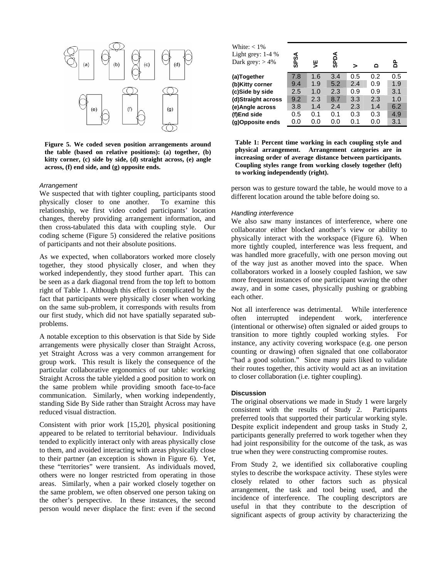

**Figure 5. We coded seven position arrangements around the table (based on relative positions): (a) together, (b) kitty corner, (c) side by side, (d) straight across, (e) angle across, (f) end side, and (g) opposite ends.** 

#### *Arrangement*

We suspected that with tighter coupling, participants stood physically closer to one another. To examine this relationship, we first video coded participants' location changes, thereby providing arrangement information, and then cross-tabulated this data with coupling style. Our coding scheme (Figure 5) considered the relative positions of participants and not their absolute positions.

As we expected, when collaborators worked more closely together, they stood physically closer, and when they worked independently, they stood further apart. This can be seen as a dark diagonal trend from the top left to bottom right of Table 1. Although this effect is complicated by the fact that participants were physically closer when working on the same sub-problem, it corresponds with results from our first study, which did not have spatially separated subproblems.

A notable exception to this observation is that Side by Side arrangements were physically closer than Straight Across, yet Straight Across was a very common arrangement for group work. This result is likely the consequence of the particular collaborative ergonomics of our table: working Straight Across the table yielded a good position to work on the same problem while providing smooth face-to-face communication. Similarly, when working independently, standing Side By Side rather than Straight Across may have reduced visual distraction.

Consistent with prior work [15,20], physical positioning appeared to be related to territorial behaviour. Individuals tended to explicitly interact only with areas physically close to them, and avoided interacting with areas physically close to their partner (an exception is shown in Figure 6). Yet, these "territories" were transient. As individuals moved, others were no longer restricted from operating in those areas. Similarly, when a pair worked closely together on the same problem, we often observed one person taking on the other's perspective. In these instances, the second person would never displace the first: even if the second

| White: $< 1\%$<br>Light grey: $1-4\%$<br>Dark grey: $> 4\%$ | SPSA | 쁮   | <b>SPDA</b> | >   | ≏   | ਠ   |
|-------------------------------------------------------------|------|-----|-------------|-----|-----|-----|
| (a)Together                                                 | 7.8  | 1.6 | 3.4         | 0.5 | 0.2 | 0.5 |
| (b)Kitty corner                                             | 9.4  | 1.9 | 5.2         | 2.4 | 0.9 | 1.9 |
| (c)Side by side                                             | 2.5  | 1.0 | 2.3         | 0.9 | 0.9 | 3.1 |
| (d)Straight across                                          | 9.2  | 2.3 | 8.7         | 3.3 | 2.3 | 1.0 |
| (e)Angle across                                             | 3.8  | 1.4 | 2.4         | 2.3 | 1.4 | 6.2 |
| (f)End side                                                 | 0.5  | 0.1 | 0.1         | 0.3 | 0.3 | 4.9 |
| (g)Opposite ends                                            | 0.0  | 0.0 | 0.0         | 0.1 | 0.0 | 3.1 |

**Table 1: Percent time working in each coupling style and physical arrangement. Arrangement categories are in increasing order of average distance between participants. Coupling styles range from working closely together (left) to working independently (right).**

person was to gesture toward the table, he would move to a different location around the table before doing so.

#### *Handling interference*

We also saw many instances of interference, where one collaborator either blocked another's view or ability to physically interact with the workspace (Figure 6). When more tightly coupled, interference was less frequent, and was handled more gracefully, with one person moving out of the way just as another moved into the space. When collaborators worked in a loosely coupled fashion, we saw more frequent instances of one participant waving the other away, and in some cases, physically pushing or grabbing each other.

Not all interference was detrimental. While interference often interrupted independent work, interference (intentional or otherwise) often signaled or aided groups to transition to more tightly coupled working styles. For instance, any activity covering workspace (e.g. one person counting or drawing) often signaled that one collaborator "had a good solution." Since many pairs liked to validate their routes together, this activity would act as an invitation to closer collaboration (i.e. tighter coupling).

# **Discussion**

The original observations we made in Study 1 were largely consistent with the results of Study 2. Participants preferred tools that supported their particular working style. Despite explicit independent and group tasks in Study 2, participants generally preferred to work together when they had joint responsibility for the outcome of the task, as was true when they were constructing compromise routes.

From Study 2, we identified six collaborative coupling styles to describe the workspace activity. These styles were closely related to other factors such as physical arrangement, the task and tool being used, and the incidence of interference. The coupling descriptors are useful in that they contribute to the description of significant aspects of group activity by characterizing the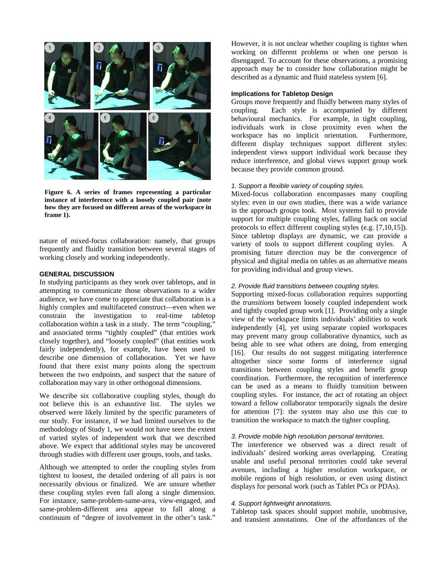

**Figure 6. A series of frames representing a particular instance of interference with a loosely coupled pair (note how they are focused on different areas of the workspace in frame 1).** 

nature of mixed-focus collaboration: namely, that groups frequently and fluidly transition between several stages of working closely and working independently.

## **GENERAL DISCUSSION**

In studying participants as they work over tabletops, and in attempting to communicate those observations to a wider audience, we have come to appreciate that collaboration is a highly complex and multifaceted construct—even when we constrain the investigation to real-time tabletop collaboration within a task in a study. The term "coupling," and associated terms "tightly coupled" (that entities work closely together), and "loosely coupled" (that entities work fairly independently), for example, have been used to describe one dimension of collaboration. Yet we have found that there exist many points along the spectrum between the two endpoints, and suspect that the nature of collaboration may vary in other orthogonal dimensions.

We describe six collaborative coupling styles, though do not believe this is an exhaustive list. The styles we observed were likely limited by the specific parameters of our study. For instance, if we had limited ourselves to the methodology of Study 1, we would not have seen the extent of varied styles of independent work that we described above. We expect that additional styles may be uncovered through studies with different user groups, tools, and tasks.

Although we attempted to order the coupling styles from tightest to loosest, the detailed ordering of all pairs is not necessarily obvious or finalized. We are unsure whether these coupling styles even fall along a single dimension. For instance, same-problem-same-area, view-engaged, and same-problem-different area appear to fall along a continuum of "degree of involvement in the other's task."

However, it is not unclear whether coupling is tighter when working on different problems or when one person is disengaged. To account for these observations, a promising approach may be to consider how collaboration might be described as a dynamic and fluid stateless system [6].

## **Implications for Tabletop Design**

Groups move frequently and fluidly between many styles of coupling. Each style is accompanied by different behavioural mechanics. For example, in tight coupling, individuals work in close proximity even when the workspace has no implicit orientation. Furthermore, different display techniques support different styles: independent views support individual work because they reduce interference, and global views support group work because they provide common ground.

## *1. Support a flexible variety of coupling styles.*

Mixed-focus collaboration encompasses many coupling styles: even in our own studies, there was a wide variance in the approach groups took. Most systems fail to provide support for multiple coupling styles, falling back on social protocols to effect different coupling styles (e.g. [7,10,15]). Since tabletop displays are dynamic, we can provide a variety of tools to support different coupling styles. A promising future direction may be the convergence of physical and digital media on tables as an alternative means for providing individual and group views.

# *2. Provide fluid transitions between coupling styles*.

Supporting mixed-focus collaboration requires supporting the *transitions* between loosely coupled independent work and tightly coupled group work [1]. Providing only a single view of the workspace limits individuals' abilities to work independently [4], yet using separate copied workspaces may prevent many group collaborative dynamics, such as being able to see what others are doing, from emerging [16]. Our results do not suggest mitigating interference altogether since some forms of interference signal transitions between coupling styles and benefit group coordination. Furthermore, the recognition of interference can be used as a means to fluidly transition between coupling styles. For instance, the act of rotating an object toward a fellow collaborator temporarily signals the desire for attention [7]: the system may also use this cue to transition the workspace to match the tighter coupling.

#### *3. Provide mobile high resolution personal territories.*

The interference we observed was a direct result of individuals' desired working areas overlapping. Creating usable and useful personal territories could take several avenues, including a higher resolution workspace, or mobile regions of high resolution, or even using distinct displays for personal work (such as Tablet PCs or PDAs).

## *4. Support lightweight annotations.*

Tabletop task spaces should support mobile, unobtrusive, and transient annotations. One of the affordances of the